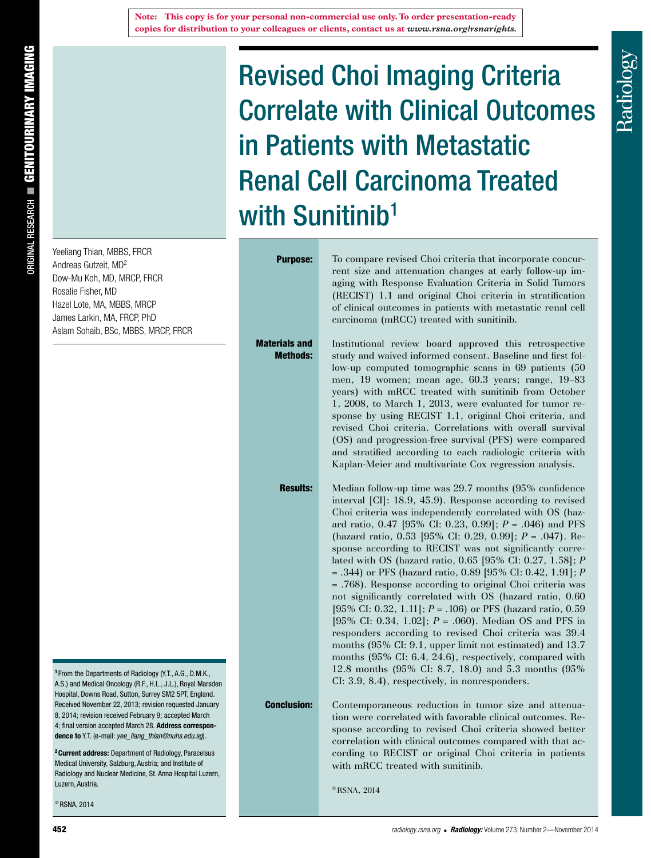# Revised Choi Imaging Criteria Correlate with Clinical Outcomes in Patients with Metastatic Renal Cell Carcinoma Treated with Sunitinib<sup>1</sup>

Yeeliang Thian, MBBS, FRCR Andreas Gutzeit, MD2 Dow-Mu Koh, MD, MRCP, FRCR Rosalie Fisher, MD Hazel Lote, MA, MBBS, MRCP James Larkin, MA, FRCP, PhD Aslam Sohaib, BSc, MBBS, MRCP, FRCR

<sup>1</sup> From the Departments of Radiology (Y.T., A.G., D.M.K., A.S.) and Medical Oncology (R.F., H.L., J.L.), Royal Marsden Hospital, Downs Road, Sutton, Surrey SM2 5PT, England. Received November 22, 2013; revision requested January 8, 2014; revision received February 9; accepted March 4; final version accepted March 28. **Address correspondence to** Y.T. (e-mail: *yee\_liang\_thian@nuhs.edu.sg*).

<sup>2</sup>**Current address:** Department of Radiology, Paracelsus Medical University, Salzburg, Austria; and Institute of Radiology and Nuclear Medicine, St. Anna Hospital Luzern, Luzern, Austria.

 $^{\circ}$  RSNA, 2014

Materials and Methods:

**Purpose:** To compare revised Choi criteria that incorporate concurrent size and attenuation changes at early follow-up imaging with Response Evaluation Criteria in Solid Tumors (RECIST) 1.1 and original Choi criteria in stratification of clinical outcomes in patients with metastatic renal cell carcinoma (mRCC) treated with sunitinib.

Radiology

Institutional review board approved this retrospective study and waived informed consent. Baseline and first follow-up computed tomographic scans in 69 patients (50 men, 19 women; mean age, 60.3 years; range, 19–83 years) with mRCC treated with sunitinib from October 1, 2008, to March 1, 2013, were evaluated for tumor response by using RECIST 1.1, original Choi criteria, and revised Choi criteria. Correlations with overall survival (OS) and progression-free survival (PFS) were compared and stratified according to each radiologic criteria with Kaplan-Meier and multivariate Cox regression analysis.

**Results:** Median follow-up time was 29.7 months (95% confidence interval [CI]: 18.9, 45.9). Response according to revised Choi criteria was independently correlated with OS (hazard ratio, 0.47 [95% CI: 0.23, 0.99]; *P* = .046) and PFS (hazard ratio, 0.53 [95% CI: 0.29, 0.99]; *P* = .047). Response according to RECIST was not significantly correlated with OS (hazard ratio, 0.65 [95% CI: 0.27, 1.58]; *P* = .344) or PFS (hazard ratio, 0.89 [95% CI: 0.42, 1.91]; *P* = .768). Response according to original Choi criteria was not significantly correlated with OS (hazard ratio, 0.60 [95% CI: 0.32, 1.11]; *P* = .106) or PFS (hazard ratio, 0.59 [95% CI: 0.34, 1.02]; *P* = .060). Median OS and PFS in responders according to revised Choi criteria was 39.4 months (95% CI: 9.1, upper limit not estimated) and 13.7 months (95% CI: 6.4, 24.6), respectively, compared with 12.8 months (95% CI: 8.7, 18.0) and 5.3 months (95% CI: 3.9, 8.4), respectively, in nonresponders.

**Conclusion:** Contemporaneous reduction in tumor size and attenuation were correlated with favorable clinical outcomes. Response according to revised Choi criteria showed better correlation with clinical outcomes compared with that according to RECIST or original Choi criteria in patients with mRCC treated with sunitinib.

 $\textdegree$  RSNA, 2014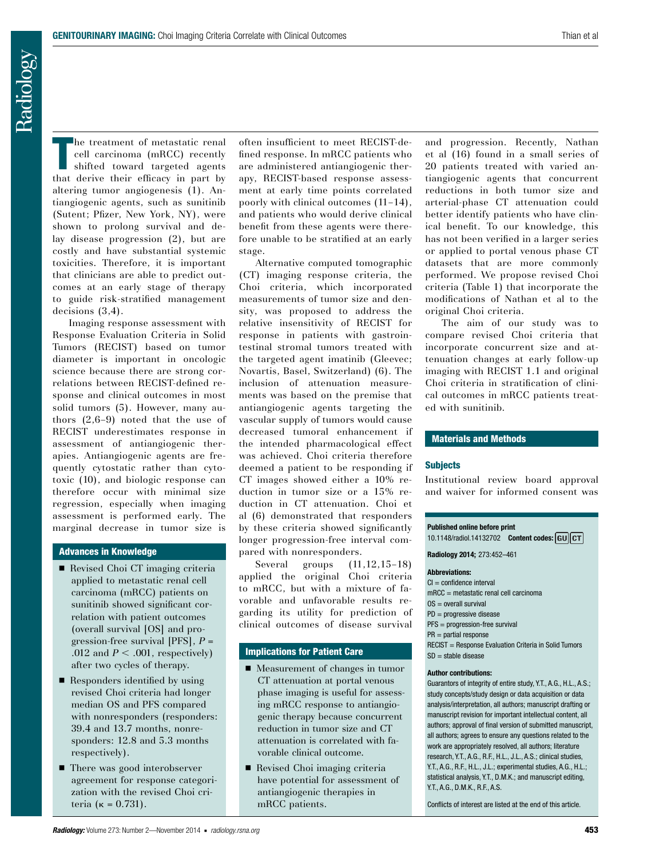Radiology

The treatment of metastatic renal<br>cell carcinoma (mRCC) recently<br>shifted toward targeted agents<br>that derive their efficacy in part by he treatment of metastatic renal cell carcinoma (mRCC) recently shifted toward targeted agents altering tumor angiogenesis (1). Antiangiogenic agents, such as sunitinib (Sutent; Pfizer, New York, NY), were shown to prolong survival and delay disease progression (2), but are costly and have substantial systemic toxicities. Therefore, it is important that clinicians are able to predict outcomes at an early stage of therapy to guide risk-stratified management decisions (3,4).

Imaging response assessment with Response Evaluation Criteria in Solid Tumors (RECIST) based on tumor diameter is important in oncologic science because there are strong correlations between RECIST-defined response and clinical outcomes in most solid tumors (5). However, many authors (2,6–9) noted that the use of RECIST underestimates response in assessment of antiangiogenic therapies. Antiangiogenic agents are frequently cytostatic rather than cytotoxic (10), and biologic response can therefore occur with minimal size regression, especially when imaging assessment is performed early. The marginal decrease in tumor size is

### Advances in Knowledge

- $\blacksquare$  Revised Choi CT imaging criteria applied to metastatic renal cell carcinoma (mRCC) patients on sunitinib showed significant correlation with patient outcomes (overall survival [OS] and progression-free survival [PFS], *P* = .012 and  $P < .001$ , respectively) after two cycles of therapy.
- $\blacksquare$  Responders identified by using revised Choi criteria had longer median OS and PFS compared with nonresponders (responders: 39.4 and 13.7 months, nonresponders: 12.8 and 5.3 months respectively).
- There was good interobserver agreement for response categorization with the revised Choi criteria ( $\kappa = 0.731$ ).

often insufficient to meet RECIST-defined response. In mRCC patients who are administered antiangiogenic therapy, RECIST-based response assessment at early time points correlated poorly with clinical outcomes (11–14), and patients who would derive clinical benefit from these agents were therefore unable to be stratified at an early stage.

Alternative computed tomographic (CT) imaging response criteria, the Choi criteria, which incorporated measurements of tumor size and density, was proposed to address the relative insensitivity of RECIST for response in patients with gastrointestinal stromal tumors treated with the targeted agent imatinib (Gleevec; Novartis, Basel, Switzerland) (6). The inclusion of attenuation measurements was based on the premise that antiangiogenic agents targeting the vascular supply of tumors would cause decreased tumoral enhancement if the intended pharmacological effect was achieved. Choi criteria therefore deemed a patient to be responding if CT images showed either a 10% reduction in tumor size or a 15% reduction in CT attenuation. Choi et al (6) demonstrated that responders by these criteria showed significantly longer progression-free interval compared with nonresponders.

Several groups (11,12,15–18) applied the original Choi criteria to mRCC, but with a mixture of favorable and unfavorable results regarding its utility for prediction of clinical outcomes of disease survival

# Implications for Patient Care

- $\blacksquare$  Measurement of changes in tumor CT attenuation at portal venous phase imaging is useful for assessing mRCC response to antiangiogenic therapy because concurrent reduction in tumor size and CT attenuation is correlated with favorable clinical outcome.
- Revised Choi imaging criteria have potential for assessment of antiangiogenic therapies in mRCC patients.

and progression. Recently, Nathan et al (16) found in a small series of 20 patients treated with varied antiangiogenic agents that concurrent reductions in both tumor size and arterial-phase CT attenuation could better identify patients who have clinical benefit. To our knowledge, this has not been verified in a larger series or applied to portal venous phase CT datasets that are more commonly performed. We propose revised Choi criteria (Table 1) that incorporate the modifications of Nathan et al to the original Choi criteria.

The aim of our study was to compare revised Choi criteria that incorporate concurrent size and attenuation changes at early follow-up imaging with RECIST 1.1 and original Choi criteria in stratification of clinical outcomes in mRCC patients treated with sunitinib.

# Materials and Methods

#### **Subjects**

Institutional review board approval and waiver for informed consent was

#### **Published online before print** 10.1148/radiol.14132702 **Content codes:**

**Radiology 2014;** 273:452–461

#### **Abbreviations:**

CI = confidence interval mRCC = metastatic renal cell carcinoma  $OS =$  overall survival PD = progressive disease  $PFS =$  progression-free survival PR = partial response RECIST = Response Evaluation Criteria in Solid Tumors SD = stable disease

#### **Author contributions:**

Guarantors of integrity of entire study, Y.T., A.G., H.L., A.S.; study concepts/study design or data acquisition or data analysis/interpretation, all authors; manuscript drafting or manuscript revision for important intellectual content, all authors; approval of final version of submitted manuscript, all authors; agrees to ensure any questions related to the work are appropriately resolved, all authors; literature research, Y.T., A.G., R.F., H.L., J.L., A.S.; clinical studies, Y.T., A.G., R.F., H.L., J.L.; experimental studies, A.G., H.L.; statistical analysis, Y.T., D.M.K.; and manuscript editing, Y.T., A.G., D.M.K., R.F., A.S.

Conflicts of interest are listed at the end of this article.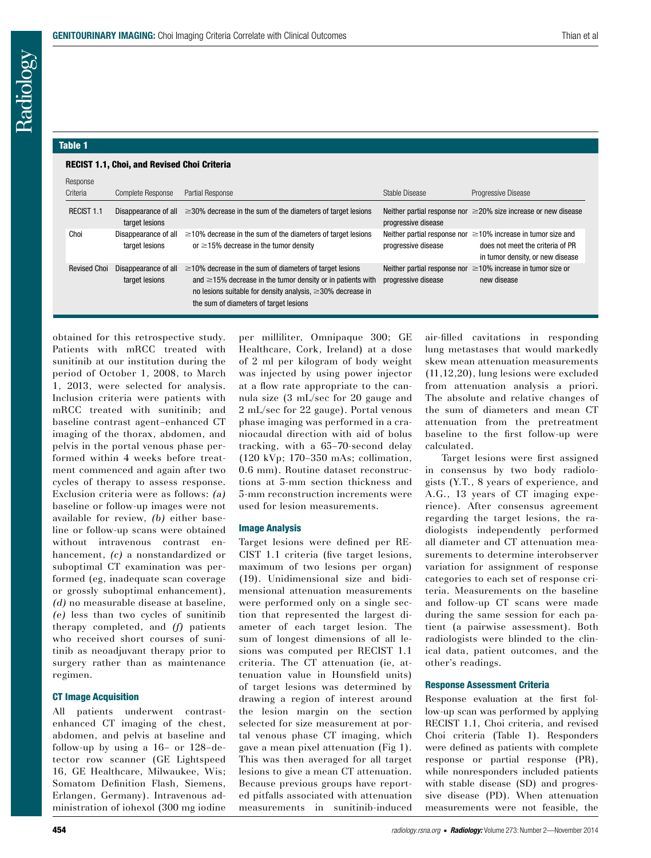# Table 1

| <b>RECIST 1.1, Choi, and Revised Choi Criteria</b> |  |  |  |
|----------------------------------------------------|--|--|--|
|----------------------------------------------------|--|--|--|

| Response<br>Criteria | Complete Response                      | Partial Response                                                                                                                                                                                                                                | Stable Disease      | Progressive Disease                                                                                                                        |
|----------------------|----------------------------------------|-------------------------------------------------------------------------------------------------------------------------------------------------------------------------------------------------------------------------------------------------|---------------------|--------------------------------------------------------------------------------------------------------------------------------------------|
| RECIST 1.1           | Disappearance of all<br>target lesions | $\geq$ 30% decrease in the sum of the diameters of target lesions                                                                                                                                                                               | progressive disease | Neither partial response nor $\geq$ 20% size increase or new disease                                                                       |
| Choi                 | Disappearance of all<br>target lesions | $\geq$ 10% decrease in the sum of the diameters of target lesions<br>or $\geq$ 15% decrease in the tumor density                                                                                                                                | progressive disease | Neither partial response nor $\geq$ 10% increase in tumor size and<br>does not meet the criteria of PR<br>in tumor density, or new disease |
| <b>Revised Choi</b>  | Disappearance of all<br>target lesions | $\geq$ 10% decrease in the sum of diameters of target lesions<br>and $\geq$ 15% decrease in the tumor density or in patients with<br>no lesions suitable for density analysis, $\geq$ 30% decrease in<br>the sum of diameters of target lesions | progressive disease | Neither partial response nor $\geq$ 10% increase in tumor size or<br>new disease                                                           |

obtained for this retrospective study. Patients with mRCC treated with sunitinib at our institution during the period of October 1, 2008, to March 1, 2013, were selected for analysis. Inclusion criteria were patients with mRCC treated with sunitinib; and baseline contrast agent–enhanced CT imaging of the thorax, abdomen, and pelvis in the portal venous phase performed within 4 weeks before treatment commenced and again after two cycles of therapy to assess response. Exclusion criteria were as follows: *(a)* baseline or follow-up images were not available for review, *(b)* either baseline or follow-up scans were obtained without intravenous contrast enhancement, *(c)* a nonstandardized or suboptimal CT examination was performed (eg, inadequate scan coverage or grossly suboptimal enhancement), *(d)* no measurable disease at baseline, *(e)* less than two cycles of sunitinib therapy completed, and *(f)* patients who received short courses of sunitinib as neoadjuvant therapy prior to surgery rather than as maintenance regimen.

# CT Image Acquisition

All patients underwent contrastenhanced CT imaging of the chest, abdomen, and pelvis at baseline and follow-up by using a 16– or 128–detector row scanner (GE Lightspeed 16, GE Healthcare, Milwaukee, Wis; Somatom Definition Flash, Siemens, Erlangen, Germany). Intravenous administration of iohexol (300 mg iodine per milliliter, Omnipaque 300; GE Healthcare, Cork, Ireland) at a dose of 2 ml per kilogram of body weight was injected by using power injector at a flow rate appropriate to the cannula size (3 mL/sec for 20 gauge and 2 mL/sec for 22 gauge). Portal venous phase imaging was performed in a craniocaudal direction with aid of bolus tracking, with a 65–70-second delay (120 kVp; 170–350 mAs; collimation, 0.6 mm). Routine dataset reconstructions at 5-mm section thickness and 5-mm reconstruction increments were used for lesion measurements.

# Image Analysis

Target lesions were defined per RE-CIST 1.1 criteria (five target lesions, maximum of two lesions per organ) (19). Unidimensional size and bidimensional attenuation measurements were performed only on a single section that represented the largest diameter of each target lesion. The sum of longest dimensions of all lesions was computed per RECIST 1.1 criteria. The CT attenuation (ie, attenuation value in Hounsfield units) of target lesions was determined by drawing a region of interest around the lesion margin on the section selected for size measurement at portal venous phase CT imaging, which gave a mean pixel attenuation (Fig 1). This was then averaged for all target lesions to give a mean CT attenuation. Because previous groups have reported pitfalls associated with attenuation measurements in sunitinib-induced air-filled cavitations in responding lung metastases that would markedly skew mean attenuation measurements (11,12,20), lung lesions were excluded from attenuation analysis a priori. The absolute and relative changes of the sum of diameters and mean CT attenuation from the pretreatment baseline to the first follow-up were calculated.

Target lesions were first assigned in consensus by two body radiologists (Y.T., 8 years of experience, and A.G., 13 years of CT imaging experience). After consensus agreement regarding the target lesions, the radiologists independently performed all diameter and CT attenuation measurements to determine interobserver variation for assignment of response categories to each set of response criteria. Measurements on the baseline and follow-up CT scans were made during the same session for each patient (a pairwise assessment). Both radiologists were blinded to the clinical data, patient outcomes, and the other's readings.

# Response Assessment Criteria

Response evaluation at the first follow-up scan was performed by applying RECIST 1.1, Choi criteria, and revised Choi criteria (Table 1). Responders were defined as patients with complete response or partial response (PR), while nonresponders included patients with stable disease (SD) and progressive disease (PD). When attenuation measurements were not feasible, the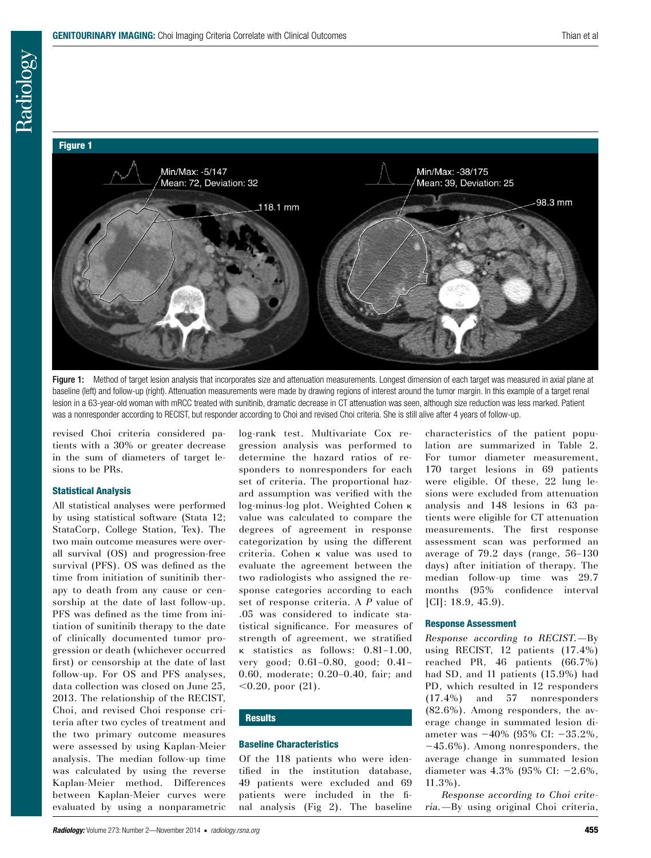#### Figure 1





revised Choi criteria considered patients with a 30% or greater decrease in the sum of diameters of target lesions to be PRs.

#### Statistical Analysis

All statistical analyses were performed by using statistical software (Stata 12; StataCorp, College Station, Tex). The two main outcome measures were overall survival (OS) and progression-free survival (PFS). OS was defined as the time from initiation of sunitinib therapy to death from any cause or censorship at the date of last follow-up. PFS was defined as the time from initiation of sunitinib therapy to the date of clinically documented tumor progression or death (whichever occurred first) or censorship at the date of last follow-up. For OS and PFS analyses, data collection was closed on June 25, 2013. The relationship of the RECIST, Choi, and revised Choi response criteria after two cycles of treatment and the two primary outcome measures were assessed by using Kaplan-Meier analysis. The median follow-up time was calculated by using the reverse Kaplan-Meier method. Differences between Kaplan-Meier curves were evaluated by using a nonparametric log-rank test. Multivariate Cox regression analysis was performed to determine the hazard ratios of responders to nonresponders for each set of criteria. The proportional hazard assumption was verified with the log-minus-log plot. Weighted Cohen k value was calculated to compare the degrees of agreement in response categorization by using the different criteria. Cohen k value was used to evaluate the agreement between the two radiologists who assigned the response categories according to each set of response criteria. A *P* value of .05 was considered to indicate statistical significance. For measures of strength of agreement, we stratified k statistics as follows: 0.81–1.00, very good; 0.61–0.80, good; 0.41– 0.60, moderate; 0.20–0.40, fair; and  $<$ 0.20, poor (21).

# **Results**

# Baseline Characteristics

Of the 118 patients who were identified in the institution database, 49 patients were excluded and 69 patients were included in the final analysis (Fig 2). The baseline

characteristics of the patient population are summarized in Table 2. For tumor diameter measurement, 170 target lesions in 69 patients were eligible. Of these, 22 lung lesions were excluded from attenuation analysis and 148 lesions in 63 patients were eligible for CT attenuation measurements. The first response assessment scan was performed an average of 79.2 days (range, 56–130 days) after initiation of therapy. The median follow-up time was 29.7 months (95% confidence interval [CI]: 18.9, 45.9).

## Response Assessment

*Response according to RECIST.—*By using RECIST, 12 patients (17.4%) reached PR, 46 patients (66.7%) had SD, and 11 patients (15.9%) had PD, which resulted in 12 responders (17.4%) and 57 nonresponders (82.6%). Among responders, the average change in summated lesion diameter was  $-40\%$  (95% CI:  $-35.2\%$ ,  $-45.6\%$ ). Among nonresponders, the average change in summated lesion diameter was  $4.3\%$  (95% CI:  $-2.6\%$ , 11.3%).

*Response according to Choi criteria.—*By using original Choi criteria,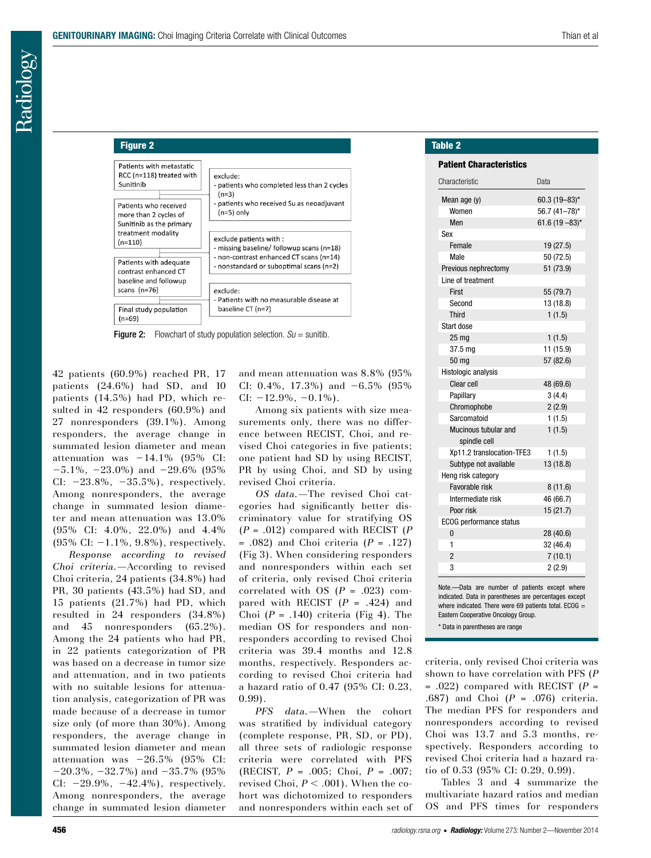

Figure 2: Flowchart of study population selection.  $Su =$  sunitib.

42 patients (60.9%) reached PR, 17 patients (24.6%) had SD, and 10 patients (14.5%) had PD, which resulted in 42 responders (60.9%) and 27 nonresponders (39.1%). Among responders, the average change in summated lesion diameter and mean attenuation was  $-14.1\%$  (95% CI:  $-5.1\%$ ,  $-23.0\%$ ) and  $-29.6\%$  (95% CI:  $-23.8\%$ ,  $-35.5\%$ ), respectively. Among nonresponders, the average change in summated lesion diameter and mean attenuation was 13.0% (95% CI: 4.0%, 22.0%) and 4.4% (95% CI:  $-1.1\%$ , 9.8%), respectively.

*Response according to revised Choi criteria.—*According to revised Choi criteria, 24 patients (34.8%) had PR, 30 patients (43.5%) had SD, and 15 patients (21.7%) had PD, which resulted in 24 responders (34.8%) and 45 nonresponders (65.2%). Among the 24 patients who had PR, in 22 patients categorization of PR was based on a decrease in tumor size and attenuation, and in two patients with no suitable lesions for attenuation analysis, categorization of PR was made because of a decrease in tumor size only (of more than 30%). Among responders, the average change in summated lesion diameter and mean attenuation was  $-26.5\%$  (95% CI:  $-20.3\%$ ,  $-32.7\%$ ) and  $-35.7\%$  (95%) CI:  $-29.9\%$ ,  $-42.4\%$ ), respectively. Among nonresponders, the average change in summated lesion diameter and mean attenuation was 8.8% (95% CI: 0.4%, 17.3%) and  $-6.5\%$  (95%) CI:  $-12.9\%$ ,  $-0.1\%$ ).

Among six patients with size measurements only, there was no difference between RECIST, Choi, and revised Choi categories in five patients; one patient had SD by using RECIST, PR by using Choi, and SD by using revised Choi criteria.

*OS data.—*The revised Choi categories had significantly better discriminatory value for stratifying OS (*P* = .012) compared with RECIST (*P* = .082) and Choi criteria (*P* = .127) (Fig 3). When considering responders and nonresponders within each set of criteria, only revised Choi criteria correlated with OS  $(P = .023)$  compared with RECIST  $(P = .424)$  and Choi  $(P = .140)$  criteria (Fig 4). The median OS for responders and nonresponders according to revised Choi criteria was 39.4 months and 12.8 months, respectively. Responders according to revised Choi criteria had a hazard ratio of 0.47 (95% CI: 0.23, 0.99).

*PFS data.—*When the cohort was stratified by individual category (complete response, PR, SD, or PD), all three sets of radiologic response criteria were correlated with PFS (RECIST, *P* = .005; Choi, *P* = .007; revised Choi,  $P < .001$ ). When the cohort was dichotomized to responders and nonresponders within each set of

# Table 2

# Patient Characteristics

| Characteristic            | Data                |
|---------------------------|---------------------|
| Mean age (y)              | 60.3 (19-83)*       |
| Women                     | 56.7 $(41-78)^*$    |
| Men                       | $61.6(19 - 83)^{*}$ |
| Sex                       |                     |
| Female                    | 19 (27.5)           |
| Male                      | 50 (72.5)           |
| Previous nephrectomy      | 51 (73.9)           |
| Line of treatment         |                     |
| First                     | 55 (79.7)           |
| Second                    | 13 (18.8)           |
| <b>Third</b>              | 1(1.5)              |
| Start dose                |                     |
| 25 <sub>mg</sub>          | 1(1.5)              |
| 37.5 mg                   | 11 (15.9)           |
| 50 mg                     | 57 (82.6)           |
| Histologic analysis       |                     |
| Clear cell                | 48 (69.6)           |
| Papillary                 | 3(4.4)              |
| Chromophobe               | 2(2.9)              |
| Sarcomatoid               | 1(1.5)              |
| Mucinous tubular and      | 1(1.5)              |
| spindle cell              |                     |
| Xp11.2 translocation-TFE3 | 1(1.5)              |
| Subtype not available     | 13 (18.8)           |
| Heng risk category        |                     |
| Favorable risk            | 8(11.6)             |
| Intermediate risk         | 46 (66.7)           |
| Poor risk                 | 15 (21.7)           |
| ECOG performance status   |                     |
| 0                         | 28 (40.6)           |
| 1                         | 32 (46.4)           |
| $\overline{2}$            | 7(10.1)             |
| 3                         | 2(2.9)              |

Note.—Data are number of patients except where indicated. Data in parentheses are percentages except where indicated. There were 69 patients total.  $ECOG =$ Eastern Cooperative Oncology Group. \* Data in parentheses are range

criteria, only revised Choi criteria was shown to have correlation with PFS (*P*  $= .022$ ) compared with RECIST ( $P =$ .687) and Choi (*P* = .076) criteria. The median PFS for responders and nonresponders according to revised Choi was 13.7 and 5.3 months, respectively. Responders according to revised Choi criteria had a hazard ratio of 0.53 (95% CI: 0.29, 0.99).

Tables 3 and 4 summarize the multivariate hazard ratios and median OS and PFS times for responders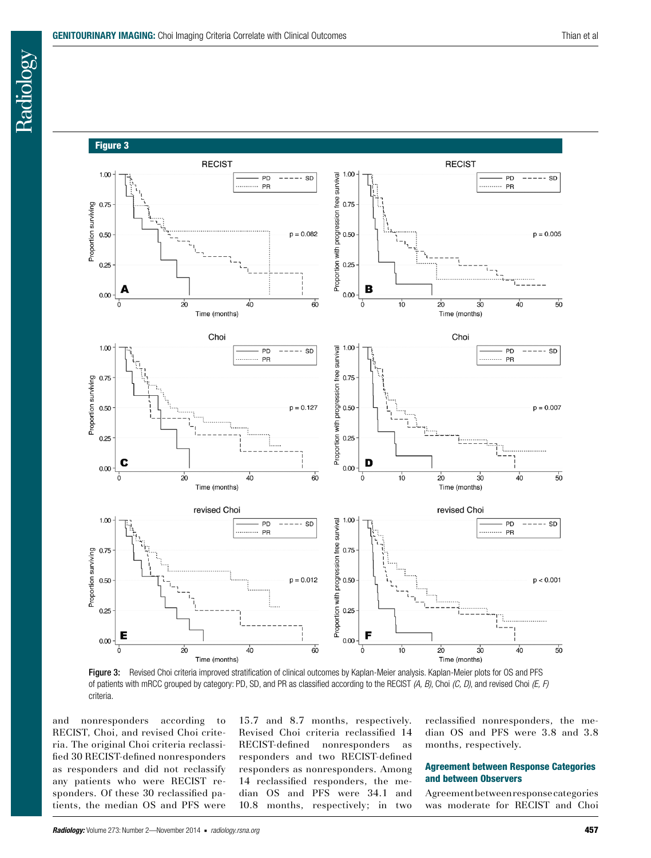Figure 3



Figure 3: Revised Choi criteria improved stratification of clinical outcomes by Kaplan-Meier analysis. Kaplan-Meier plots for OS and PFS of patients with mRCC grouped by category: PD, SD, and PR as classified according to the RECIST *(A, B)*, Choi *(C, D)*, and revised Choi *(E, F)* criteria.

and nonresponders according to RECIST, Choi, and revised Choi criteria. The original Choi criteria reclassified 30 RECIST-defined nonresponders as responders and did not reclassify any patients who were RECIST responders. Of these 30 reclassified patients, the median OS and PFS were 15.7 and 8.7 months, respectively. Revised Choi criteria reclassified 14 RECIST-defined nonresponders as responders and two RECIST-defined responders as nonresponders. Among 14 reclassified responders, the median OS and PFS were 34.1 and 10.8 months, respectively; in two reclassified nonresponders, the median OS and PFS were 3.8 and 3.8 months, respectively.

# Agreement between Response Categories and between Observers

Agreement between response categories was moderate for RECIST and Choi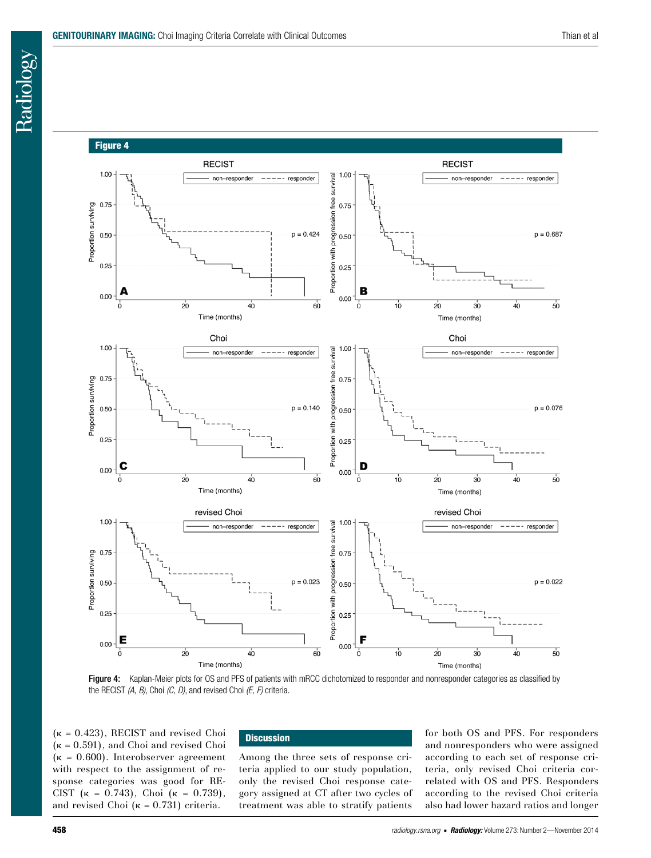



Figure 4: Kaplan-Meier plots for OS and PFS of patients with mRCC dichotomized to responder and nonresponder categories as classified by the RECIST *(A, B)*, Choi *(C, D)*, and revised Choi *(E, F)* criteria.

 $(\kappa = 0.423)$ , RECIST and revised Choi  $(\kappa = 0.591)$ , and Choi and revised Choi  $\kappa = 0.600$ . Interobserver agreement with respect to the assignment of response categories was good for RE-CIST  $(\kappa = 0.743)$ , Choi  $(\kappa = 0.739)$ , and revised Choi  $(\kappa = 0.731)$  criteria.

# **Discussion**

Among the three sets of response criteria applied to our study population, only the revised Choi response category assigned at CT after two cycles of treatment was able to stratify patients for both OS and PFS. For responders and nonresponders who were assigned according to each set of response criteria, only revised Choi criteria correlated with OS and PFS. Responders according to the revised Choi criteria also had lower hazard ratios and longer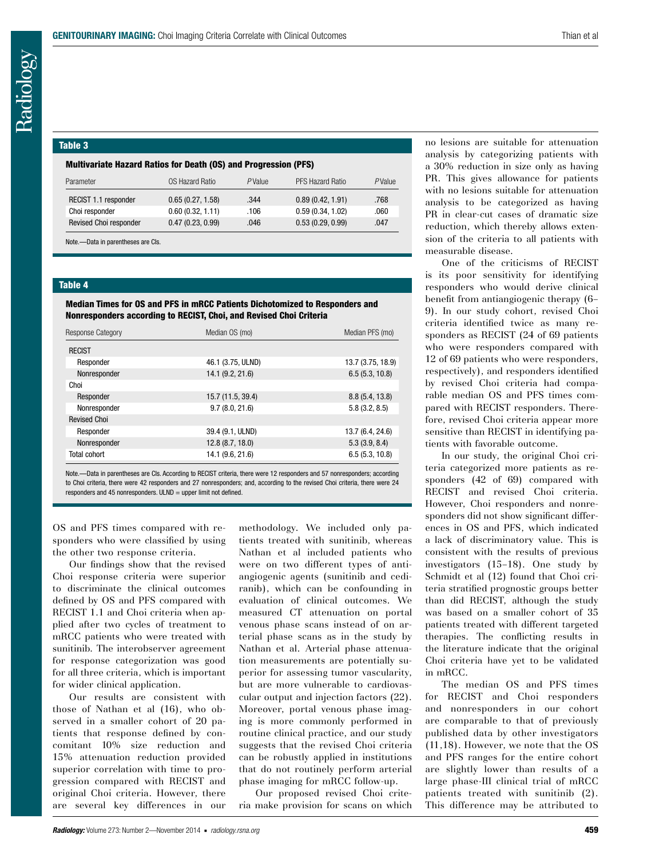#### Table 3

#### Multivariate Hazard Ratios for Death (OS) and Progression (PFS)

| Parameter              | OS Hazard Ratio  | PValue | PFS Hazard Ratio | PValue |
|------------------------|------------------|--------|------------------|--------|
| RECIST 1.1 responder   | 0.65(0.27, 1.58) | .344   | 0.89(0.42, 1.91) | .768   |
| Choi responder         | 0.60(0.32, 1.11) | .106   | 0.59(0.34, 1.02) | .060   |
| Revised Choi responder | 0.47(0.23, 0.99) | .046   | 0.53(0.29, 0.99) | .047   |

Note.—Data in parentheses are CIs.

# Table 4

Median Times for OS and PFS in mRCC Patients Dichotomized to Responders and Nonresponders according to RECIST, Choi, and Revised Choi Criteria

| Response Category   | Median OS (mo)    | Median PFS (mo)   |
|---------------------|-------------------|-------------------|
| <b>RECIST</b>       |                   |                   |
| Responder           | 46.1 (3.75, ULND) | 13.7 (3.75, 18.9) |
| Nonresponder        | 14.1 (9.2, 21.6)  | 6.5(5.3, 10.8)    |
| Choi                |                   |                   |
| Responder           | 15.7 (11.5, 39.4) | 8.8(5.4, 13.8)    |
| Nonresponder        | 9.7(8.0, 21.6)    | 5.8(3.2, 8.5)     |
| <b>Revised Choi</b> |                   |                   |
| Responder           | 39.4 (9.1, ULND)  | 13.7 (6.4, 24.6)  |
| Nonresponder        | 12.8(8.7, 18.0)   | 5.3(3.9, 8.4)     |
| Total cohort        | 14.1 (9.6, 21.6)  | 6.5(5.3, 10.8)    |

Note.—Data in parentheses are CIs. According to RECIST criteria, there were 12 responders and 57 nonresponders; according to Choi criteria, there were 42 responders and 27 nonresponders; and, according to the revised Choi criteria, there were 24 responders and 45 nonresponders. ULND = upper limit not defined.

OS and PFS times compared with responders who were classified by using the other two response criteria.

Our findings show that the revised Choi response criteria were superior to discriminate the clinical outcomes defined by OS and PFS compared with RECIST 1.1 and Choi criteria when applied after two cycles of treatment to mRCC patients who were treated with sunitinib. The interobserver agreement for response categorization was good for all three criteria, which is important for wider clinical application.

Our results are consistent with those of Nathan et al (16), who observed in a smaller cohort of 20 patients that response defined by concomitant 10% size reduction and 15% attenuation reduction provided superior correlation with time to progression compared with RECIST and original Choi criteria. However, there are several key differences in our methodology. We included only patients treated with sunitinib, whereas Nathan et al included patients who were on two different types of antiangiogenic agents (sunitinib and cediranib), which can be confounding in evaluation of clinical outcomes. We measured CT attenuation on portal venous phase scans instead of on arterial phase scans as in the study by Nathan et al. Arterial phase attenuation measurements are potentially superior for assessing tumor vascularity, but are more vulnerable to cardiovascular output and injection factors (22). Moreover, portal venous phase imaging is more commonly performed in routine clinical practice, and our study suggests that the revised Choi criteria can be robustly applied in institutions that do not routinely perform arterial phase imaging for mRCC follow-up.

Our proposed revised Choi criteria make provision for scans on which no lesions are suitable for attenuation analysis by categorizing patients with a 30% reduction in size only as having PR. This gives allowance for patients with no lesions suitable for attenuation analysis to be categorized as having PR in clear-cut cases of dramatic size reduction, which thereby allows extension of the criteria to all patients with measurable disease.

One of the criticisms of RECIST is its poor sensitivity for identifying responders who would derive clinical benefit from antiangiogenic therapy (6– 9). In our study cohort, revised Choi criteria identified twice as many responders as RECIST (24 of 69 patients who were responders compared with 12 of 69 patients who were responders, respectively), and responders identified by revised Choi criteria had comparable median OS and PFS times compared with RECIST responders. Therefore, revised Choi criteria appear more sensitive than RECIST in identifying patients with favorable outcome.

In our study, the original Choi criteria categorized more patients as responders (42 of 69) compared with RECIST and revised Choi criteria. However, Choi responders and nonresponders did not show significant differences in OS and PFS, which indicated a lack of discriminatory value. This is consistent with the results of previous investigators (15–18). One study by Schmidt et al (12) found that Choi criteria stratified prognostic groups better than did RECIST, although the study was based on a smaller cohort of 35 patients treated with different targeted therapies. The conflicting results in the literature indicate that the original Choi criteria have yet to be validated in mRCC.

The median OS and PFS times for RECIST and Choi responders and nonresponders in our cohort are comparable to that of previously published data by other investigators (11,18). However, we note that the OS and PFS ranges for the entire cohort are slightly lower than results of a large phase-III clinical trial of mRCC patients treated with sunitinib (2). This difference may be attributed to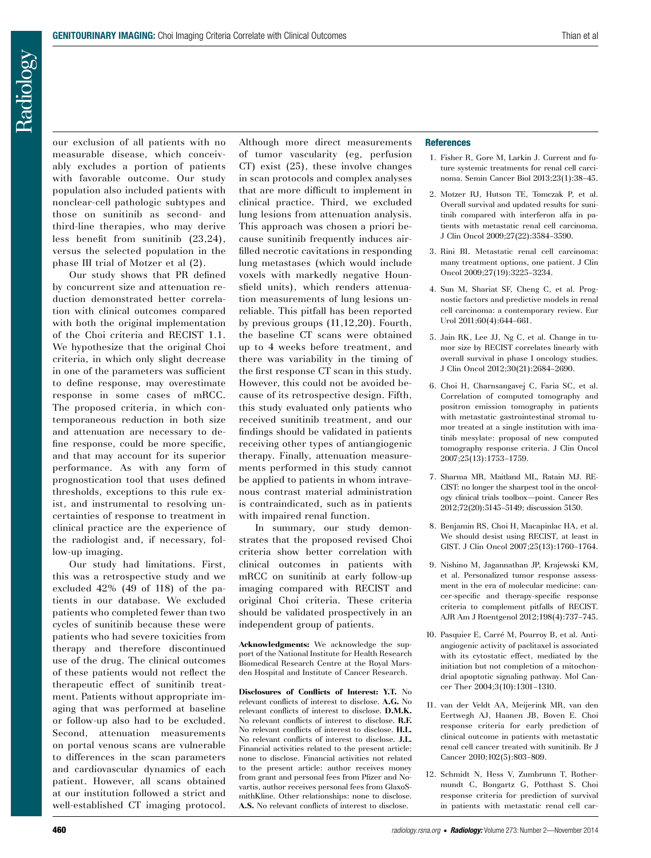Radiology

our exclusion of all patients with no measurable disease, which conceivably excludes a portion of patients with favorable outcome. Our study population also included patients with nonclear-cell pathologic subtypes and those on sunitinib as second- and third-line therapies, who may derive less benefit from sunitinib (23,24), versus the selected population in the phase III trial of Motzer et al (2).

Our study shows that PR defined by concurrent size and attenuation reduction demonstrated better correlation with clinical outcomes compared with both the original implementation of the Choi criteria and RECIST 1.1. We hypothesize that the original Choi criteria, in which only slight decrease in one of the parameters was sufficient to define response, may overestimate response in some cases of mRCC. The proposed criteria, in which contemporaneous reduction in both size and attenuation are necessary to define response, could be more specific, and that may account for its superior performance. As with any form of prognostication tool that uses defined thresholds, exceptions to this rule exist, and instrumental to resolving uncertainties of response to treatment in clinical practice are the experience of the radiologist and, if necessary, follow-up imaging.

Our study had limitations. First, this was a retrospective study and we excluded 42% (49 of 118) of the patients in our database. We excluded patients who completed fewer than two cycles of sunitinib because these were patients who had severe toxicities from therapy and therefore discontinued use of the drug. The clinical outcomes of these patients would not reflect the therapeutic effect of sunitinib treatment. Patients without appropriate imaging that was performed at baseline or follow-up also had to be excluded. Second, attenuation measurements on portal venous scans are vulnerable to differences in the scan parameters and cardiovascular dynamics of each patient. However, all scans obtained at our institution followed a strict and well-established CT imaging protocol. Although more direct measurements of tumor vascularity (eg, perfusion CT) exist (25), these involve changes in scan protocols and complex analyses that are more difficult to implement in clinical practice. Third, we excluded lung lesions from attenuation analysis. This approach was chosen a priori because sunitinib frequently induces airfilled necrotic cavitations in responding lung metastases (which would include voxels with markedly negative Hounsfield units), which renders attenuation measurements of lung lesions unreliable. This pitfall has been reported by previous groups (11,12,20). Fourth, the baseline CT scans were obtained up to 4 weeks before treatment, and there was variability in the timing of the first response CT scan in this study. However, this could not be avoided because of its retrospective design. Fifth, this study evaluated only patients who received sunitinib treatment, and our findings should be validated in patients receiving other types of antiangiogenic therapy. Finally, attenuation measurements performed in this study cannot be applied to patients in whom intravenous contrast material administration is contraindicated, such as in patients with impaired renal function.

In summary, our study demonstrates that the proposed revised Choi criteria show better correlation with clinical outcomes in patients with mRCC on sunitinib at early follow-up imaging compared with RECIST and original Choi criteria. These criteria should be validated prospectively in an independent group of patients.

**Acknowledgments:** We acknowledge the support of the National Institute for Health Research Biomedical Research Centre at the Royal Marsden Hospital and Institute of Cancer Research.

**Disclosures of Conflicts of Interest: Y.T.** No relevant conflicts of interest to disclose. **A.G.** No relevant conflicts of interest to disclose. **D.M.K.**  No relevant conflicts of interest to disclose. **R.F.**  No relevant conflicts of interest to disclose. **H.L.**  No relevant conflicts of interest to disclose. **J.L.**  Financial activities related to the present article: none to disclose. Financial activities not related to the present article: author receives money from grant and personal fees from Pfizer and Novartis, author receives personal fees from GlaxoSmithKline. Other relationships: none to disclose. **A.S.** No relevant conflicts of interest to disclose.

# **References**

- 1. Fisher R, Gore M, Larkin J. Current and future systemic treatments for renal cell carcinoma. Semin Cancer Biol 2013;23(1):38–45.
- 2. Motzer RJ, Hutson TE, Tomczak P, et al. Overall survival and updated results for sunitinib compared with interferon alfa in patients with metastatic renal cell carcinoma. J Clin Oncol 2009;27(22):3584–3590.
- 3. Rini BI. Metastatic renal cell carcinoma: many treatment options, one patient. J Clin Oncol 2009;27(19):3225–3234.
- 4. Sun M, Shariat SF, Cheng C, et al. Prognostic factors and predictive models in renal cell carcinoma: a contemporary review. Eur Urol 2011;60(4):644–661.
- 5. Jain RK, Lee JJ, Ng C, et al. Change in tumor size by RECIST correlates linearly with overall survival in phase I oncology studies. J Clin Oncol 2012;30(21):2684–2690.
- 6. Choi H, Charnsangavej C, Faria SC, et al. Correlation of computed tomography and positron emission tomography in patients with metastatic gastrointestinal stromal tumor treated at a single institution with imatinib mesylate: proposal of new computed tomography response criteria. J Clin Oncol 2007;25(13):1753–1759.
- 7. Sharma MR, Maitland ML, Ratain MJ. RE-CIST: no longer the sharpest tool in the oncology clinical trials toolbox—point. Cancer Res 2012;72(20):5145–5149; discussion 5150.
- 8. Benjamin RS, Choi H, Macapinlac HA, et al. We should desist using RECIST, at least in GIST. J Clin Oncol 2007;25(13):1760–1764.
- 9. Nishino M, Jagannathan JP, Krajewski KM, et al. Personalized tumor response assessment in the era of molecular medicine: cancer-specific and therapy-specific response criteria to complement pitfalls of RECIST. AJR Am J Roentgenol 2012;198(4):737–745.
- 10. Pasquier E, Carré M, Pourroy B, et al. Antiangiogenic activity of paclitaxel is associated with its cytostatic effect, mediated by the initiation but not completion of a mitochondrial apoptotic signaling pathway. Mol Cancer Ther 2004;3(10):1301–1310.
- 11. van der Veldt AA, Meijerink MR, van den Eertwegh AJ, Haanen JB, Boven E. Choi response criteria for early prediction of clinical outcome in patients with metastatic renal cell cancer treated with sunitinib. Br J Cancer 2010;102(5):803–809.
- 12. Schmidt N, Hess V, Zumbrunn T, Rothermundt C, Bongartz G, Potthast S. Choi response criteria for prediction of survival in patients with metastatic renal cell car-